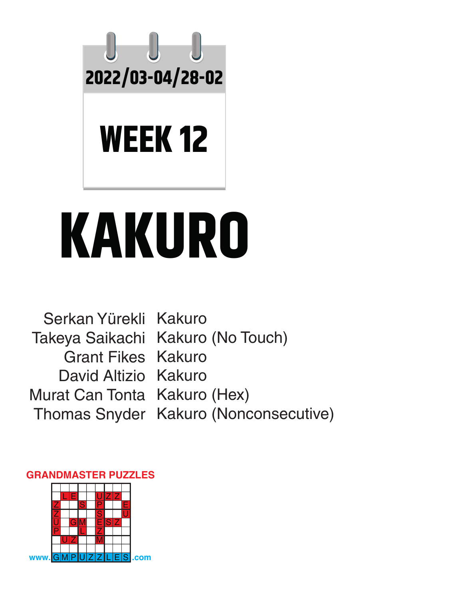

# **KAKURO**

Serkan Yürekli Kakuro Takeya Saikachi Kakuro (No Touch) Grant Fikes Kakuro David Altizio Kakuro Murat Can Tonta Kakuro (Hex) Thomas Snyder Kakuro (Nonconsecutive)

#### L E | | | U|Z|Z <u>Z S P E</u> <u>Z | | | <mark>S</mark> | | U</u> <u>U GM ESZ</u> P L Z  $|U|Z$   $|M$ **w**. Gom

#### **GRANDMASTER PUZZLES**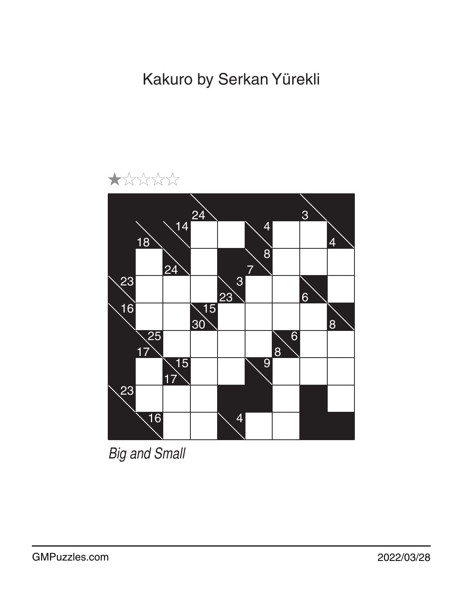Kakuro by Serkan Yürekli



*Big and Small*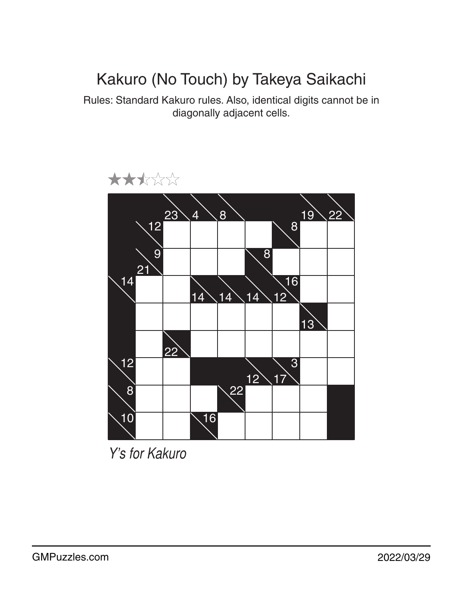## Kakuro (No Touch) by Takeya Saikachi

Rules: Standard Kakuro rules. Also, identical digits cannot be in diagonally adjacent cells.



*Y's for Kakuro*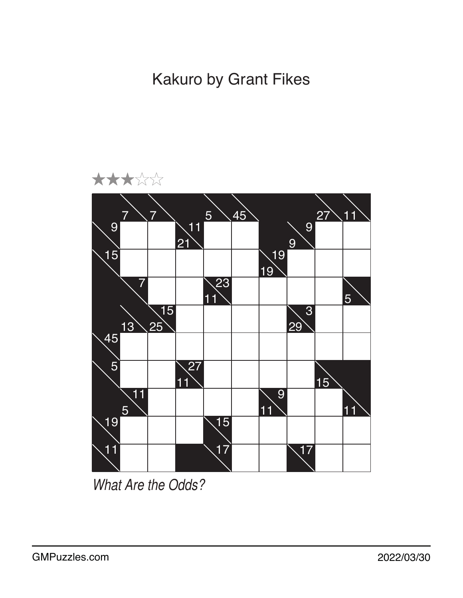Kakuro by Grant Fikes



*What Are the Odds?*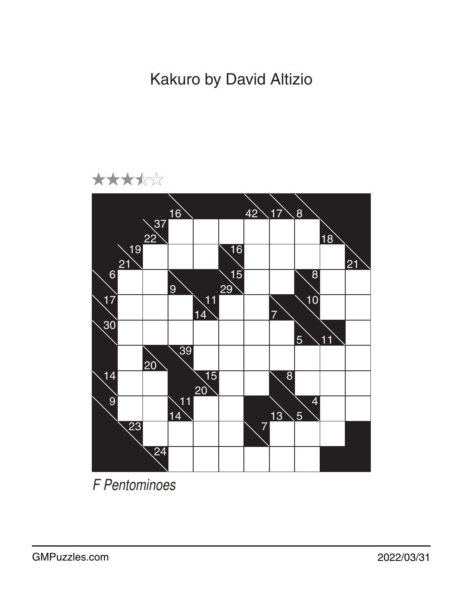Kakuro by David Altizio



*F Pentominoes*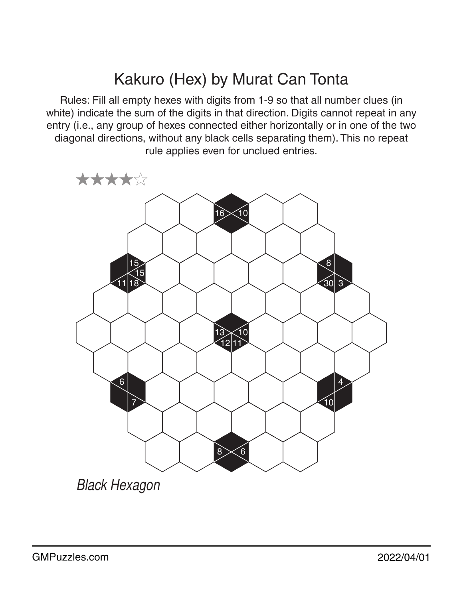## Kakuro (Hex) by Murat Can Tonta

Rules: Fill all empty hexes with digits from 1-9 so that all number clues (in white) indicate the sum of the digits in that direction. Digits cannot repeat in any entry (i.e., any group of hexes connected either horizontally or in one of the two diagonal directions, without any black cells separating them). This no repeat rule applies even for unclued entries.



*Black Hexagon*